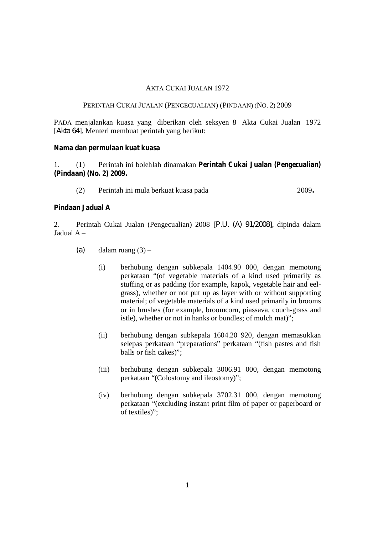# AKTA CUKAI JUALAN 1972

# PERINTAH CUKAI JUALAN (PENGECUALIAN) (PINDAAN) (NO. 2) 2009

PADA menjalankan kuasa yang diberikan oleh seksyen 8 Akta Cukai Jualan 1972 [*Akta 64*], Menteri membuat perintah yang berikut:

#### **Nama dan permulaan kuat kuasa**

1. (1) Perintah ini bolehlah dinamakan **Perintah Cukai Jualan (Pengecualian) (Pindaan) (No. 2) 2009.**

(2) Perintah ini mula berkuat kuasa pada 2009**.**

# **Pindaan Jadual A**

2. Perintah Cukai Jualan (Pengecualian) 2008 [*P.U. (A) 91/2008*], dipinda dalam Jadual A –

- $(a)$  dalam ruang  $(3)$ 
	- (i) berhubung dengan subkepala 1404.90 000, dengan memotong perkataan "(of vegetable materials of a kind used primarily as stuffing or as padding (for example, kapok, vegetable hair and eelgrass), whether or not put up as layer with or without supporting material; of vegetable materials of a kind used primarily in brooms or in brushes (for example, broomcorn, piassava, couch-grass and istle), whether or not in hanks or bundles; of mulch mat)";
	- (ii) berhubung dengan subkepala 1604.20 920, dengan memasukkan selepas perkataan "preparations" perkataan "(fish pastes and fish balls or fish cakes)";
	- (iii) berhubung dengan subkepala 3006.91 000, dengan memotong perkataan "(Colostomy and ileostomy)";
	- (iv) berhubung dengan subkepala 3702.31 000, dengan memotong perkataan "(excluding instant print film of paper or paperboard or of textiles)";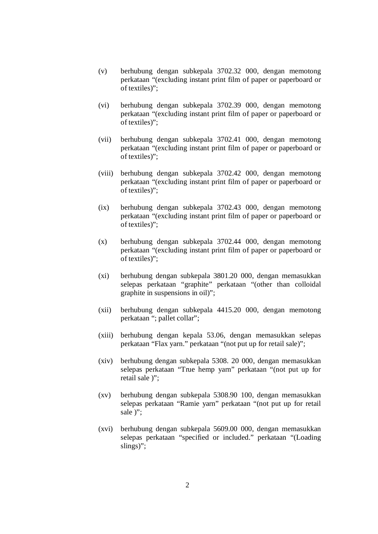- (v) berhubung dengan subkepala 3702.32 000, dengan memotong perkataan "(excluding instant print film of paper or paperboard or of textiles)";
- (vi) berhubung dengan subkepala 3702.39 000, dengan memotong perkataan "(excluding instant print film of paper or paperboard or of textiles)";
- (vii) berhubung dengan subkepala 3702.41 000, dengan memotong perkataan "(excluding instant print film of paper or paperboard or of textiles)";
- (viii) berhubung dengan subkepala 3702.42 000, dengan memotong perkataan "(excluding instant print film of paper or paperboard or of textiles)";
- (ix) berhubung dengan subkepala 3702.43 000, dengan memotong perkataan "(excluding instant print film of paper or paperboard or of textiles)";
- (x) berhubung dengan subkepala 3702.44 000, dengan memotong perkataan "(excluding instant print film of paper or paperboard or of textiles)";
- (xi) berhubung dengan subkepala 3801.20 000, dengan memasukkan selepas perkataan "graphite" perkataan "(other than colloidal graphite in suspensions in oil)";
- (xii) berhubung dengan subkepala 4415.20 000, dengan memotong perkataan "; pallet collar";
- (xiii) berhubung dengan kepala 53.06, dengan memasukkan selepas perkataan "Flax yarn." perkataan "(not put up for retail sale)";
- (xiv) berhubung dengan subkepala 5308. 20 000, dengan memasukkan selepas perkataan "True hemp yarn" perkataan "(not put up for retail sale )";
- (xv) berhubung dengan subkepala 5308.90 100, dengan memasukkan selepas perkataan "Ramie yarn" perkataan "(not put up for retail sale  $)$ ";
- (xvi) berhubung dengan subkepala 5609.00 000, dengan memasukkan selepas perkataan "specified or included." perkataan "(Loading slings)";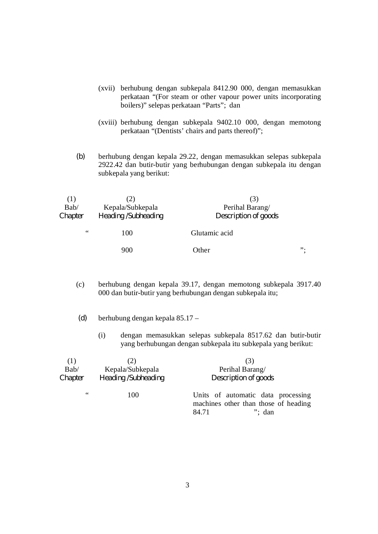- (xvii) berhubung dengan subkepala 8412.90 000, dengan memasukkan perkataan "(For steam or other vapour power units incorporating boilers)" selepas perkataan "Parts"; dan
- (xviii) berhubung dengan subkepala 9402.10 000, dengan memotong perkataan "(Dentists' chairs and parts thereof)";
- *(b)* berhubung dengan kepala 29.22, dengan memasukkan selepas subkepala 2922.42 dan butir-butir yang berhubungan dengan subkepala itu dengan subkepala yang berikut:

| Bab/    | Kepala/Subkepala    | Perihal Barang/      |    |
|---------|---------------------|----------------------|----|
| Chapter | Heading /Subheading | Description of goods |    |
| 66      | 100                 | Glutamic acid        |    |
|         | 900                 | Other                | ". |

- (c) berhubung dengan kepala 39.17, dengan memotong subkepala 3917.40 000 dan butir-butir yang berhubungan dengan subkepala itu;
- *(d)* berhubung dengan kepala 85.17
	- (i) dengan memasukkan selepas subkepala 8517.62 dan butir-butir yang berhubungan dengan subkepala itu subkepala yang berikut:

| (1)     | 2)                  | (3)                                                                                              |
|---------|---------------------|--------------------------------------------------------------------------------------------------|
| Bab/    | Kepala/Subkepala    | Perihal Barang/                                                                                  |
| Chapter | Heading /Subheading | Description of goods                                                                             |
| 66      | 100                 | Units of automatic data processing<br>machines other than those of heading<br>$"$ ; dan<br>84.71 |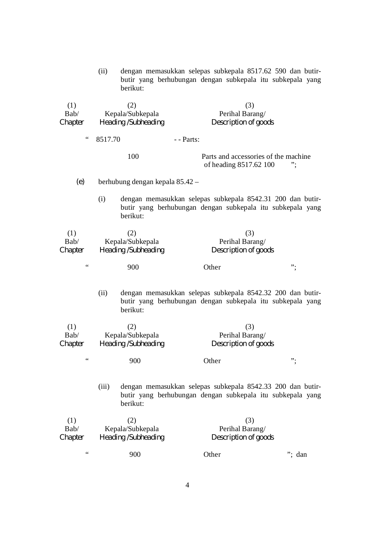|                               | (ii)<br>berikut:                | dengan memasukkan selepas subkepala 8517.62 590 dan butir-<br>butir yang berhubungan dengan subkepala itu subkepala yang |        |
|-------------------------------|---------------------------------|--------------------------------------------------------------------------------------------------------------------------|--------|
| (1)                           | (2)                             | (3)                                                                                                                      |        |
| Bab/                          | Kepala/Subkepala                | Perihal Barang/                                                                                                          |        |
| Chapter                       | Heading /Subheading             | Description of goods                                                                                                     |        |
|                               |                                 |                                                                                                                          |        |
| $\,$ $\,$ $\,$ $\,$ $\,$ $\,$ | 8517.70                         | - - Parts:                                                                                                               |        |
|                               | 100                             | Parts and accessories of the machine<br>of heading 8517.62 100                                                           |        |
| (e)                           | berhubung dengan kepala 85.42 - |                                                                                                                          |        |
|                               | (i)<br>berikut:                 | dengan memasukkan selepas subkepala 8542.31 200 dan butir-<br>butir yang berhubungan dengan subkepala itu subkepala yang |        |
| (1)                           | (2)                             | (3)                                                                                                                      |        |
| Bab/                          | Kepala/Subkepala                | Perihal Barang/                                                                                                          |        |
| Chapter                       | Heading /Subheading             | Description of goods                                                                                                     |        |
|                               |                                 |                                                                                                                          |        |
| $\,6\,$ 6                     | 900                             | Other                                                                                                                    | ".     |
|                               | (ii)<br>berikut:                | dengan memasukkan selepas subkepala 8542.32 200 dan butir-<br>butir yang berhubungan dengan subkepala itu subkepala yang |        |
| (1)                           | (2)                             | (3)                                                                                                                      |        |
| Bab/                          | Kepala/Subkepala                | Perihal Barang/                                                                                                          |        |
| Chapter                       | Heading /Subheading             | Description of goods                                                                                                     |        |
| $\zeta$ $\zeta$               | 900                             | Other                                                                                                                    | ".     |
|                               | (iii)<br>berikut:               | dengan memasukkan selepas subkepala 8542.33 200 dan butir-<br>butir yang berhubungan dengan subkepala itu subkepala yang |        |
| (1)                           | (2)                             | (3)                                                                                                                      |        |
| Bab/                          | Kepala/Subkepala                | Perihal Barang/                                                                                                          |        |
| Chapter                       | Heading /Subheading             | Description of goods                                                                                                     |        |
| $\,6\,$ 6                     | 900                             | Other                                                                                                                    | "; dan |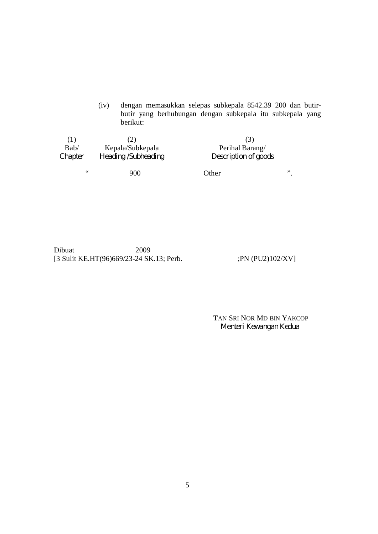(iv) dengan memasukkan selepas subkepala 8542.39 200 dan butirbutir yang berhubungan dengan subkepala itu subkepala yang berikut:

| ( [ )   | (Z)                 | (5)                  |    |
|---------|---------------------|----------------------|----|
| Bab/    | Kepala/Subkepala    | Perihal Barang/      |    |
| Chapter | Heading /Subheading | Description of goods |    |
| 66      | 900                 | Other                | ,, |

Dibuat 2009 [3 Sulit KE.HT(96)669/23-24 SK.13; Perb. ;PN (PU2)102/XV]

TAN SRI NOR MD BIN YAKCOP *Menteri Kewangan Kedua*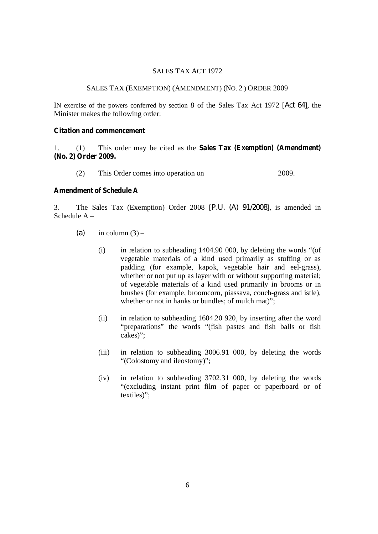### SALES TAX ACT 1972

# SALES TAX (EXEMPTION) (AMENDMENT) (NO. 2 ) ORDER 2009

IN exercise of the powers conferred by section 8 of the Sales Tax Act 1972 [*Act 64*], the Minister makes the following order:

# **Citation and commencement**

1. (1) This order may be cited as the **Sales Tax (Exemption) (Amendment) (No. 2) Order 2009.**

(2) This Order comes into operation on 2009.

# **Amendment of Schedule A**

3. The Sales Tax (Exemption) Order 2008 [*P.U. (A) 91/2008*], is amended in Schedule A –

- $(a)$  in column  $(3)$ 
	- (i) in relation to subheading 1404.90 000, by deleting the words "(of vegetable materials of a kind used primarily as stuffing or as padding (for example, kapok, vegetable hair and eel-grass), whether or not put up as layer with or without supporting material; of vegetable materials of a kind used primarily in brooms or in brushes (for example, broomcorn, piassava, couch-grass and istle), whether or not in hanks or bundles; of mulch mat)";
	- (ii) in relation to subheading 1604.20 920, by inserting after the word "preparations" the words "(fish pastes and fish balls or fish cakes)";
	- (iii) in relation to subheading 3006.91 000, by deleting the words "(Colostomy and ileostomy)";
	- (iv) in relation to subheading 3702.31 000, by deleting the words "(excluding instant print film of paper or paperboard or of textiles)";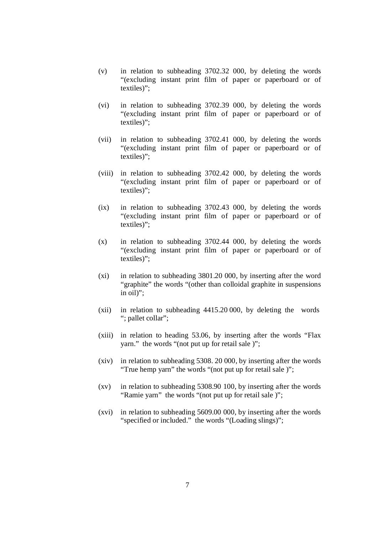- (v) in relation to subheading 3702.32 000, by deleting the words "(excluding instant print film of paper or paperboard or of textiles)";
- (vi) in relation to subheading 3702.39 000, by deleting the words "(excluding instant print film of paper or paperboard or of textiles)";
- (vii) in relation to subheading 3702.41 000, by deleting the words "(excluding instant print film of paper or paperboard or of textiles)";
- (viii) in relation to subheading 3702.42 000, by deleting the words "(excluding instant print film of paper or paperboard or of textiles)";
- (ix) in relation to subheading 3702.43 000, by deleting the words "(excluding instant print film of paper or paperboard or of textiles)";
- (x) in relation to subheading 3702.44 000, by deleting the words "(excluding instant print film of paper or paperboard or of textiles)";
- (xi) in relation to subheading 3801.20 000, by inserting after the word "graphite" the words "(other than colloidal graphite in suspensions in oil)";
- (xii) in relation to subheading 4415.20 000, by deleting the words "; pallet collar";
- (xiii) in relation to heading 53.06, by inserting after the words "Flax yarn." the words "(not put up for retail sale )";
- (xiv) in relation to subheading 5308. 20 000, by inserting after the words "True hemp yarn" the words "(not put up for retail sale )";
- (xv) in relation to subheading 5308.90 100, by inserting after the words "Ramie yarn" the words "(not put up for retail sale )";
- (xvi) in relation to subheading 5609.00 000, by inserting after the words "specified or included." the words "(Loading slings)";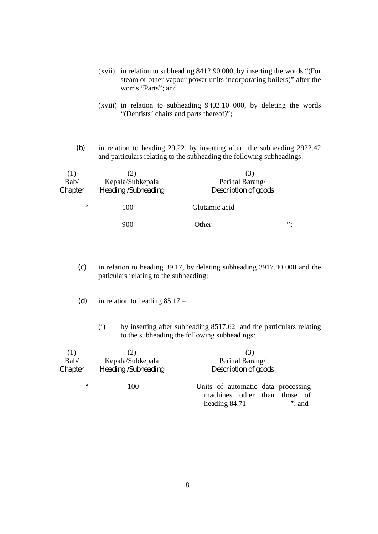- (xvii) in relation to subheading 8412.90 000, by inserting the words "(For steam or other vapour power units incorporating boilers)" after the words "Parts"; and
- (xviii) in relation to subheading 9402.10 000, by deleting the words "(Dentists' chairs and parts thereof)";
- *(b)* in relation to heading 29.22, by inserting after the subheading 2922.42 and particulars relating to the subheading the following subheadings:

| (1)                            |                  |                      |    |
|--------------------------------|------------------|----------------------|----|
| Bab/                           | Kepala/Subkepala | Perihal Barang/      |    |
| Heading /Subheading<br>Chapter |                  | Description of goods |    |
| 66                             | 100              | Glutamic acid        |    |
|                                | 900              | Other                | ". |

- *(c)* in relation to heading 39.17, by deleting subheading 3917.40 000 and the paticulars relating to the subheading;
- *(d)* in relation to heading 85.17
	- (i) by inserting after subheading 8517.62 and the particulars relating to the subheading the following subheadings:

| (1)     |                     | (3)                                                       |           |
|---------|---------------------|-----------------------------------------------------------|-----------|
| Bab/    | Kepala/Subkepala    | Perihal Barang/                                           |           |
| Chapter | Heading /Subheading | Description of goods                                      |           |
| 66      | 100                 | Units of automatic data processing<br>machines other than | those of  |
|         |                     | heading 84.71                                             | $"$ ; and |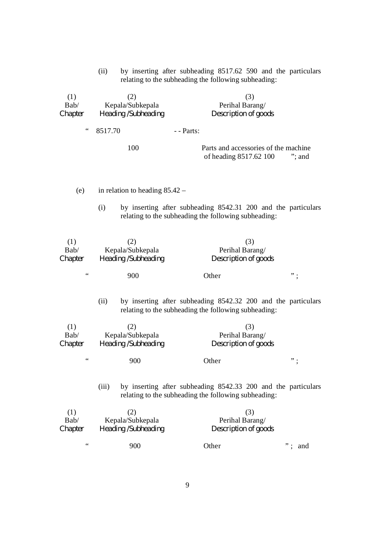(ii) by inserting after subheading 8517.62 590 and the particulars relating to the subheading the following subheading:

| (1)<br>Bab/            | (2)<br>Kepala/Subkepala                        | (3)<br>Perihal Barang/                                                                                                |           |
|------------------------|------------------------------------------------|-----------------------------------------------------------------------------------------------------------------------|-----------|
| Chapter                | Heading /Subheading                            | Description of goods                                                                                                  |           |
| 66                     | 8517.70                                        | - - Parts:                                                                                                            |           |
|                        | 100                                            | Parts and accessories of the machine<br>of heading 8517.62 100                                                        | $"$ ; and |
| (e)                    | in relation to heading $85.42 -$               |                                                                                                                       |           |
|                        | (i)                                            | by inserting after subheading 8542.31 200 and the particulars<br>relating to the subheading the following subheading: |           |
| (1)<br>Bab/<br>Chapter | (2)<br>Kepala/Subkepala<br>Heading /Subheading | (3)<br>Perihal Barang/<br>Description of goods                                                                        |           |
| $\,$ $\,$ $\,$ $\,$    | 900                                            | Other                                                                                                                 | ".        |
|                        | (ii)                                           | by inserting after subheading 8542.32 200 and the particulars<br>relating to the subheading the following subheading: |           |
| (1)<br>Bab/<br>Chapter | (2)<br>Kepala/Subkepala<br>Heading /Subheading | (3)<br>Perihal Barang/<br>Description of goods                                                                        |           |
| $\,6\,$ 6              | 900                                            | Other                                                                                                                 | ".        |
|                        | (iii)                                          | by inserting after subheading 8542.33 200 and the particulars<br>relating to the subheading the following subheading: |           |
| (1)<br>Bab/<br>Chapter | (2)<br>Kepala/Subkepala<br>Heading /Subheading | (3)<br>Perihal Barang/<br>Description of goods                                                                        |           |
| $\,$ $\,$ $\,$ $\,$    | 900                                            | Other                                                                                                                 | and       |